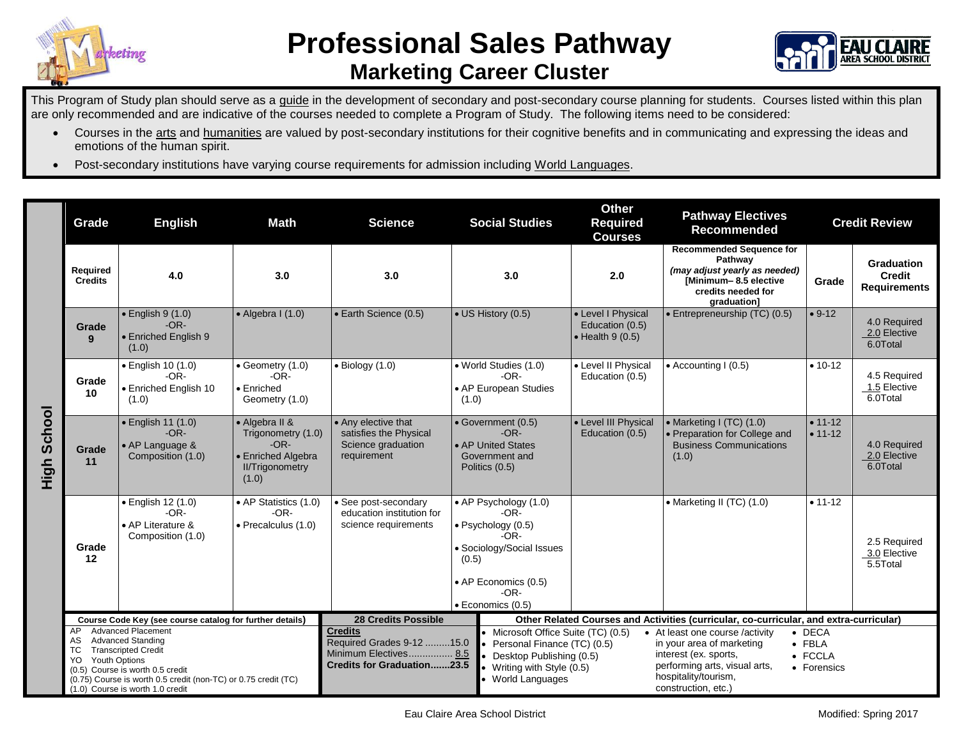



## This Program of Study plan should serve as a guide in the development of secondary and post-secondary course planning for students. Courses listed within this plan are only recommended and are indicative of the courses needed to complete a Program of Study. The following items need to be considered:

- Courses in the arts and humanities are valued by post-secondary institutions for their cognitive benefits and in communicating and expressing the ideas and emotions of the human spirit.
- Post-secondary institutions have varying course requirements for admission including World Languages.

|                | Grade                                                                                                                                                                                                                                                                            | <b>English</b>                                                               | Math                                                                                                    | <b>Science</b>                                                                                             |                            | <b>Social Studies</b>                                                                                                                                | <b>Other</b><br><b>Required</b><br><b>Courses</b>                                      | <b>Pathway Electives</b><br>Recommended                                                                                                                               | <b>Credit Review</b>                                       |                                                           |
|----------------|----------------------------------------------------------------------------------------------------------------------------------------------------------------------------------------------------------------------------------------------------------------------------------|------------------------------------------------------------------------------|---------------------------------------------------------------------------------------------------------|------------------------------------------------------------------------------------------------------------|----------------------------|------------------------------------------------------------------------------------------------------------------------------------------------------|----------------------------------------------------------------------------------------|-----------------------------------------------------------------------------------------------------------------------------------------------------------------------|------------------------------------------------------------|-----------------------------------------------------------|
|                | Required<br><b>Credits</b>                                                                                                                                                                                                                                                       | 4.0<br>3.0                                                                   |                                                                                                         | 3.0                                                                                                        | 3.0                        |                                                                                                                                                      | 2.0                                                                                    | <b>Recommended Sequence for</b><br>Pathway<br>(may adjust yearly as needed)<br>[Minimum-8.5 elective<br>credits needed for<br>graduation]                             | Grade                                                      | <b>Graduation</b><br><b>Credit</b><br><b>Requirements</b> |
|                | Grade<br>9                                                                                                                                                                                                                                                                       | $\bullet$ English 9 (1.0)<br>$-OR-$<br>• Enriched English 9<br>(1.0)         | $\bullet$ Algebra I (1.0)                                                                               | • Earth Science (0.5)                                                                                      | • US History (0.5)         |                                                                                                                                                      | • Level I Physical<br>Education (0.5)<br>$\bullet$ Health 9 (0.5)                      | • Entrepreneurship (TC) (0.5)                                                                                                                                         | $• 9-12$                                                   | 4.0 Required<br>2.0 Elective<br>6.0Total                  |
| School<br>High | Grade<br>10                                                                                                                                                                                                                                                                      | • English 10 (1.0)<br>$-OR-$<br>• Enriched English 10<br>(1.0)               | $\bullet$ Geometry (1.0)<br>$-OR-$<br>$\bullet$ Enriched<br>Geometry (1.0)                              | $\bullet$ Biology (1.0)                                                                                    | (1.0)                      | • World Studies (1.0)<br>$-OR-$<br>• AP European Studies                                                                                             | • Level II Physical<br>Education (0.5)                                                 | $\bullet$ Accounting I (0.5)                                                                                                                                          | $• 10-12$                                                  | 4.5 Required<br>1.5 Elective<br>6.0Total                  |
|                | Grade<br>11                                                                                                                                                                                                                                                                      | $\bullet$ English 11 (1.0)<br>$-OR-$<br>• AP Language &<br>Composition (1.0) | • Algebra II &<br>Trigonometry (1.0)<br>$-OR-$<br>• Enriched Algebra<br><b>II/Trigonometry</b><br>(1.0) | • Any elective that<br>satisfies the Physical<br>Science graduation<br>requirement                         | Politics (0.5)             | • Government (0.5)<br>$-OR-$<br>• AP United States<br>Government and                                                                                 | • Level III Physical<br>Education (0.5)                                                | • Marketing I (TC) (1.0)<br>• Preparation for College and<br><b>Business Communications</b><br>(1.0)                                                                  | $• 11 - 12$<br>$• 11 - 12$                                 | 4.0 Required<br>2.0 Elective<br>6.0Total                  |
|                | Grade<br>12                                                                                                                                                                                                                                                                      | • English 12 (1.0)<br>$-OR-$<br>• AP Literature &<br>Composition (1.0)       | • AP Statistics (1.0)<br>$-OR-$<br>• Precalculus (1.0)                                                  | • See post-secondary<br>education institution for<br>science requirements                                  | (0.5)<br>· Economics (0.5) | • AP Psychology (1.0)<br>$-OR-$<br>· Psychology (0.5)<br>-OR-<br>· Sociology/Social Issues<br>• AP Economics (0.5)<br>$-OR-$                         |                                                                                        | • Marketing II (TC) (1.0)                                                                                                                                             | $• 11-12$                                                  | 2.5 Required<br>3.0 Elective<br>5.5Total                  |
|                | Course Code Key (see course catalog for further details)                                                                                                                                                                                                                         |                                                                              |                                                                                                         | <b>28 Credits Possible</b>                                                                                 |                            |                                                                                                                                                      | Other Related Courses and Activities (curricular, co-curricular, and extra-curricular) |                                                                                                                                                                       |                                                            |                                                           |
|                | <b>Advanced Placement</b><br>AP.<br><b>Advanced Standing</b><br>AS.<br><b>Transcripted Credit</b><br>ТC<br><b>Youth Options</b><br>YO.<br>(0.5) Course is worth 0.5 credit<br>(0.75) Course is worth 0.5 credit (non-TC) or 0.75 credit (TC)<br>(1.0) Course is worth 1.0 credit |                                                                              |                                                                                                         | <b>Credits</b><br>Required Grades 9-12  15.0<br>Minimum Electives 8.5<br><b>Credits for Graduation23.5</b> |                            | • Microsoft Office Suite (TC) (0.5)<br>Personal Finance (TC) (0.5)<br>Desktop Publishing (0.5)<br>Writing with Style (0.5)<br><b>World Languages</b> |                                                                                        | • At least one course /activity<br>in your area of marketing<br>interest (ex. sports,<br>performing arts, visual arts,<br>hospitality/tourism,<br>construction, etc.) | $\bullet$ DECA<br>$\bullet$ FBLA<br>• FCCLA<br>• Forensics |                                                           |